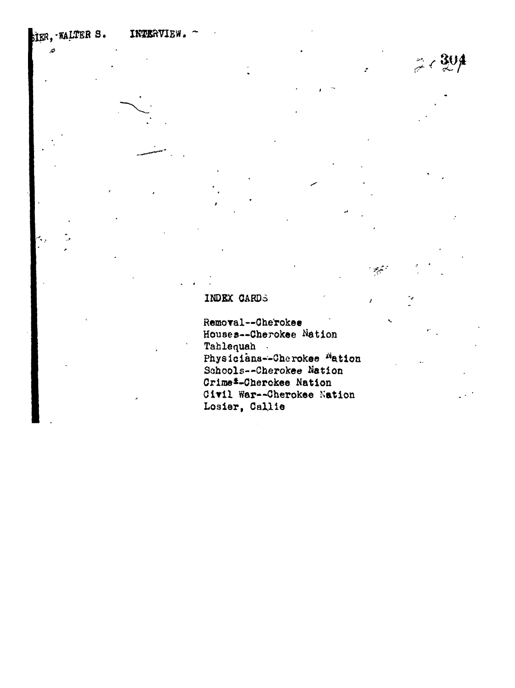FIER, WALTER S. INTERVIEW.

ى

 $304$ اسم<br>حود  $\left\langle \right\rangle$ 

المتبرعين

## INDEX CARDS

Removal--Cherokee Houses--Cherokee Nation Tahlequah . Physicians--Cherokee Wation Schools--Cherokee Nation Crime\*-Cherckee Nation Civil War--Cherokee Nation Losier, Callie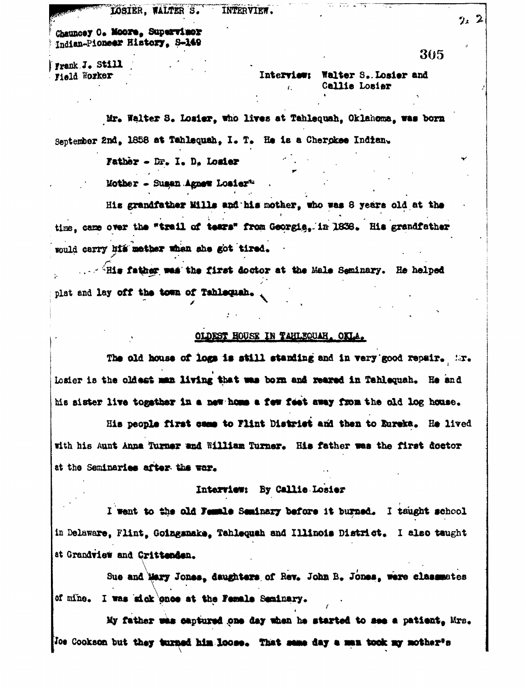LOSIER, WALTER S. INTERVIEW.

Chauncey O. Moore, Supervince Indian-Pioneer History, S-149

Frank J. Still Field Worker

## Interview: Walter S. Losier and Callie Losiar

ದ ಮುಖ್ಯಮಾ

Mr. Walter S. Losier, who lives at Tahlequah, Oklahoma, was born September 2nd, 1858 at Tahlequah, I. T. He is a Cherokee Indian.

Father - Dr. I. D. Losier

Mother - Sugan Agnew Losiert

His grandfather Mills and his mother, who was 8 years old at the time, came over the "trail of tears" from Georgia, in 1838. His grandfather would carry his mether when she got tired.

... A Elis father was the first doctor at the Male Seminary. He helped plat and lay off the town of Tahlequah.

## OLDEST HOUSE IN TAHLEQUAH, OKLA.

The old house of logs is still standing and in very good repair. Mr. Losier is the oldest man living that was born and reared in Tahlequah. He and his sister live togsther in a new home a few feet away from the old log house.

His people first came to Flint District and then to Eureka. He lived with his Aunt Anna Turner and William Turner. His father was the first doctor at the Seminaries after the war.

## Interview: By Callie Losier

I went to the old Female Seminary before it burned. I taught school in Delaware, Flint, Goingsnake, Tahlequah and Illinois District. I also taught at Grandview and Crittenden.

Sue and Mary Jones, daughters of Rev. John B. Jones, were classmates of mine. I was sick once at the Female Seminary.

My father was captured one day when he started to see a patient, Mrs. Joe Cookson but they turned him loose. That same day a man took my mother's

 $2.2$ 

305